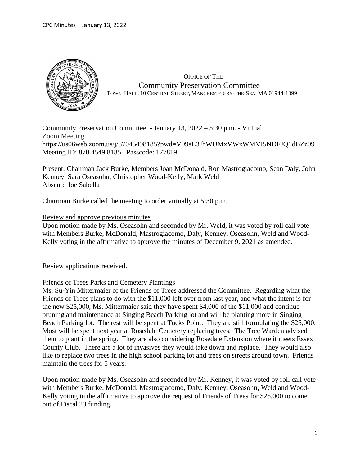

 OFFICE OF THE Community Preservation Committee TOWN HALL, 10 CENTRAL STREET, MANCHESTER-BY-THE-SEA, MA 01944-1399

Community Preservation Committee - January 13, 2022 – 5:30 p.m. - Virtual Zoom Meeting https://us06web.zoom.us/j/87045498185?pwd=V09aL3JhWUMxVWxWMVI5NDFJQ1dBZz09 Meeting ID: 870 4549 8185 Passcode: 177819

Present: Chairman Jack Burke, Members Joan McDonald, Ron Mastrogiacomo, Sean Daly, John Kenney, Sara Oseasohn, Christopher Wood-Kelly, Mark Weld Absent: Joe Sabella

Chairman Burke called the meeting to order virtually at 5:30 p.m.

# Review and approve previous minutes

Upon motion made by Ms. Oseasohn and seconded by Mr. Weld, it was voted by roll call vote with Members Burke, McDonald, Mastrogiacomo, Daly, Kenney, Oseasohn, Weld and Wood-Kelly voting in the affirmative to approve the minutes of December 9, 2021 as amended.

Review applications received.

# Friends of Trees Parks and Cemetery Plantings

Ms. Su-Yin Mittermaier of the Friends of Trees addressed the Committee. Regarding what the Friends of Trees plans to do with the \$11,000 left over from last year, and what the intent is for the new \$25,000, Ms. Mittermaier said they have spent \$4,000 of the \$11,000 and continue pruning and maintenance at Singing Beach Parking lot and will be planting more in Singing Beach Parking lot. The rest will be spent at Tucks Point. They are still formulating the \$25,000. Most will be spent next year at Rosedale Cemetery replacing trees. The Tree Warden advised them to plant in the spring. They are also considering Rosedale Extension where it meets Essex County Club. There are a lot of invasives they would take down and replace. They would also like to replace two trees in the high school parking lot and trees on streets around town. Friends maintain the trees for 5 years.

Upon motion made by Ms. Oseasohn and seconded by Mr. Kenney, it was voted by roll call vote with Members Burke, McDonald, Mastrogiacomo, Daly, Kenney, Oseasohn, Weld and Wood-Kelly voting in the affirmative to approve the request of Friends of Trees for \$25,000 to come out of Fiscal 23 funding.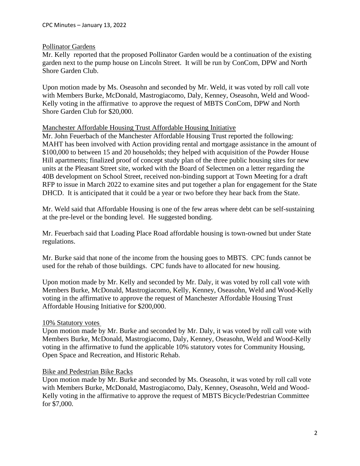# Pollinator Gardens

Mr. Kelly reported that the proposed Pollinator Garden would be a continuation of the existing garden next to the pump house on Lincoln Street. It will be run by ConCom, DPW and North Shore Garden Club.

Upon motion made by Ms. Oseasohn and seconded by Mr. Weld, it was voted by roll call vote with Members Burke, McDonald, Mastrogiacomo, Daly, Kenney, Oseasohn, Weld and Wood-Kelly voting in the affirmative to approve the request of MBTS ConCom, DPW and North Shore Garden Club for \$20,000.

# Manchester Affordable Housing Trust Affordable Housing Initiative

Mr. John Feuerbach of the Manchester Affordable Housing Trust reported the following: MAHT has been involved with Action providing rental and mortgage assistance in the amount of \$100,000 to between 15 and 20 households; they helped with acquisition of the Powder House Hill apartments; finalized proof of concept study plan of the three public housing sites for new units at the Pleasant Street site, worked with the Board of Selectmen on a letter regarding the 40B development on School Street, received non-binding support at Town Meeting for a draft RFP to issue in March 2022 to examine sites and put together a plan for engagement for the State DHCD. It is anticipated that it could be a year or two before they hear back from the State.

Mr. Weld said that Affordable Housing is one of the few areas where debt can be self-sustaining at the pre-level or the bonding level. He suggested bonding.

Mr. Feuerbach said that Loading Place Road affordable housing is town-owned but under State regulations.

Mr. Burke said that none of the income from the housing goes to MBTS. CPC funds cannot be used for the rehab of those buildings. CPC funds have to allocated for new housing.

Upon motion made by Mr. Kelly and seconded by Mr. Daly, it was voted by roll call vote with Members Burke, McDonald, Mastrogiacomo, Kelly, Kenney, Oseasohn, Weld and Wood-Kelly voting in the affirmative to approve the request of Manchester Affordable Housing Trust Affordable Housing Initiative for \$200,000.

# 10% Statutory votes

Upon motion made by Mr. Burke and seconded by Mr. Daly, it was voted by roll call vote with Members Burke, McDonald, Mastrogiacomo, Daly, Kenney, Oseasohn, Weld and Wood-Kelly voting in the affirmative to fund the applicable 10% statutory votes for Community Housing, Open Space and Recreation, and Historic Rehab.

# Bike and Pedestrian Bike Racks

Upon motion made by Mr. Burke and seconded by Ms. Oseasohn, it was voted by roll call vote with Members Burke, McDonald, Mastrogiacomo, Daly, Kenney, Oseasohn, Weld and Wood-Kelly voting in the affirmative to approve the request of MBTS Bicycle/Pedestrian Committee for \$7,000.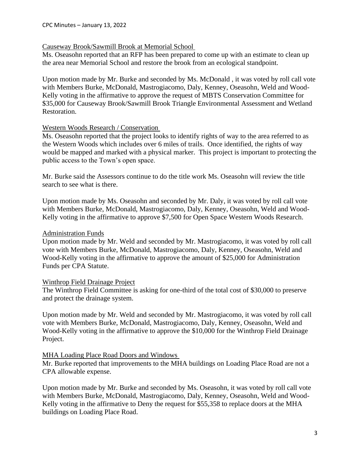# Causeway Brook/Sawmill Brook at Memorial School

Ms. Oseasohn reported that an RFP has been prepared to come up with an estimate to clean up the area near Memorial School and restore the brook from an ecological standpoint.

Upon motion made by Mr. Burke and seconded by Ms. McDonald , it was voted by roll call vote with Members Burke, McDonald, Mastrogiacomo, Daly, Kenney, Oseasohn, Weld and Wood-Kelly voting in the affirmative to approve the request of MBTS Conservation Committee for \$35,000 for Causeway Brook/Sawmill Brook Triangle Environmental Assessment and Wetland Restoration.

# Western Woods Research / Conservation

Ms. Oseasohn reported that the project looks to identify rights of way to the area referred to as the Western Woods which includes over 6 miles of trails. Once identified, the rights of way would be mapped and marked with a physical marker. This project is important to protecting the public access to the Town's open space.

Mr. Burke said the Assessors continue to do the title work Ms. Oseasohn will review the title search to see what is there.

Upon motion made by Ms. Oseasohn and seconded by Mr. Daly, it was voted by roll call vote with Members Burke, McDonald, Mastrogiacomo, Daly, Kenney, Oseasohn, Weld and Wood-Kelly voting in the affirmative to approve \$7,500 for Open Space Western Woods Research.

# Administration Funds

Upon motion made by Mr. Weld and seconded by Mr. Mastrogiacomo, it was voted by roll call vote with Members Burke, McDonald, Mastrogiacomo, Daly, Kenney, Oseasohn, Weld and Wood-Kelly voting in the affirmative to approve the amount of \$25,000 for Administration Funds per CPA Statute.

# Winthrop Field Drainage Project

The Winthrop Field Committee is asking for one-third of the total cost of \$30,000 to preserve and protect the drainage system.

Upon motion made by Mr. Weld and seconded by Mr. Mastrogiacomo, it was voted by roll call vote with Members Burke, McDonald, Mastrogiacomo, Daly, Kenney, Oseasohn, Weld and Wood-Kelly voting in the affirmative to approve the \$10,000 for the Winthrop Field Drainage Project.

# MHA Loading Place Road Doors and Windows

Mr. Burke reported that improvements to the MHA buildings on Loading Place Road are not a CPA allowable expense.

Upon motion made by Mr. Burke and seconded by Ms. Oseasohn, it was voted by roll call vote with Members Burke, McDonald, Mastrogiacomo, Daly, Kenney, Oseasohn, Weld and Wood-Kelly voting in the affirmative to Deny the request for \$55,358 to replace doors at the MHA buildings on Loading Place Road.